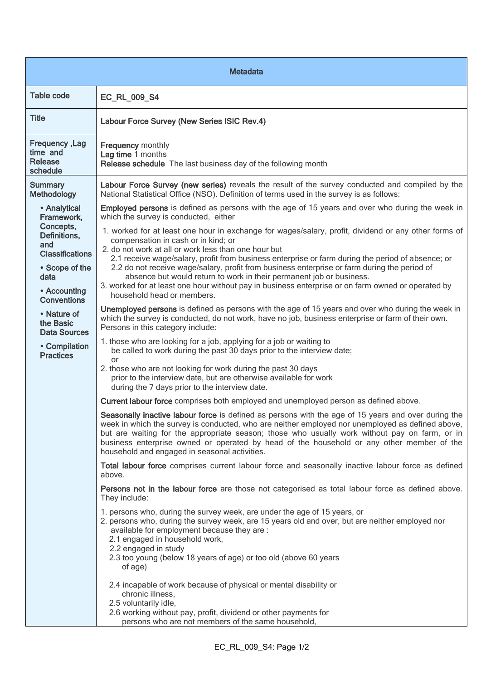| <b>Metadata</b>                                                                                                                                                                                                                                  |                                                                                                                                                                                                                                                                                                                                                                                                                                                                                                                                                                                                                                                                                                                                                                                                                                                                                                                                                                                                                                                                                                                                                                                                                                                                                                                                                                                                                                                                                                                                                                                                                                                                                                                                                                                                                                                                   |  |
|--------------------------------------------------------------------------------------------------------------------------------------------------------------------------------------------------------------------------------------------------|-------------------------------------------------------------------------------------------------------------------------------------------------------------------------------------------------------------------------------------------------------------------------------------------------------------------------------------------------------------------------------------------------------------------------------------------------------------------------------------------------------------------------------------------------------------------------------------------------------------------------------------------------------------------------------------------------------------------------------------------------------------------------------------------------------------------------------------------------------------------------------------------------------------------------------------------------------------------------------------------------------------------------------------------------------------------------------------------------------------------------------------------------------------------------------------------------------------------------------------------------------------------------------------------------------------------------------------------------------------------------------------------------------------------------------------------------------------------------------------------------------------------------------------------------------------------------------------------------------------------------------------------------------------------------------------------------------------------------------------------------------------------------------------------------------------------------------------------------------------------|--|
| <b>Table code</b>                                                                                                                                                                                                                                | EC_RL_009_S4                                                                                                                                                                                                                                                                                                                                                                                                                                                                                                                                                                                                                                                                                                                                                                                                                                                                                                                                                                                                                                                                                                                                                                                                                                                                                                                                                                                                                                                                                                                                                                                                                                                                                                                                                                                                                                                      |  |
| <b>Title</b>                                                                                                                                                                                                                                     | Labour Force Survey (New Series ISIC Rev.4)                                                                                                                                                                                                                                                                                                                                                                                                                                                                                                                                                                                                                                                                                                                                                                                                                                                                                                                                                                                                                                                                                                                                                                                                                                                                                                                                                                                                                                                                                                                                                                                                                                                                                                                                                                                                                       |  |
| Frequency, Lag<br>time and<br><b>Release</b><br>schedule                                                                                                                                                                                         | <b>Frequency monthly</b><br>Lag time 1 months<br>Release schedule The last business day of the following month                                                                                                                                                                                                                                                                                                                                                                                                                                                                                                                                                                                                                                                                                                                                                                                                                                                                                                                                                                                                                                                                                                                                                                                                                                                                                                                                                                                                                                                                                                                                                                                                                                                                                                                                                    |  |
| <b>Summary</b><br>Methodology                                                                                                                                                                                                                    | Labour Force Survey (new series) reveals the result of the survey conducted and compiled by the<br>National Statistical Office (NSO). Definition of terms used in the survey is as follows:                                                                                                                                                                                                                                                                                                                                                                                                                                                                                                                                                                                                                                                                                                                                                                                                                                                                                                                                                                                                                                                                                                                                                                                                                                                                                                                                                                                                                                                                                                                                                                                                                                                                       |  |
| • Analytical<br>Framework,<br>Concepts,<br>Definitions,<br>and<br><b>Classifications</b><br>• Scope of the<br>data<br>• Accounting<br><b>Conventions</b><br>• Nature of<br>the Basic<br><b>Data Sources</b><br>• Compilation<br><b>Practices</b> | Employed persons is defined as persons with the age of 15 years and over who during the week in<br>which the survey is conducted, either<br>1. worked for at least one hour in exchange for wages/salary, profit, dividend or any other forms of<br>compensation in cash or in kind; or<br>2. do not work at all or work less than one hour but<br>2.1 receive wage/salary, profit from business enterprise or farm during the period of absence; or<br>2.2 do not receive wage/salary, profit from business enterprise or farm during the period of<br>absence but would return to work in their permanent job or business.<br>3. worked for at least one hour without pay in business enterprise or on farm owned or operated by<br>household head or members.<br>Unemployed persons is defined as persons with the age of 15 years and over who during the week in<br>which the survey is conducted, do not work, have no job, business enterprise or farm of their own.<br>Persons in this category include:<br>1. those who are looking for a job, applying for a job or waiting to<br>be called to work during the past 30 days prior to the interview date;<br>or<br>2. those who are not looking for work during the past 30 days<br>prior to the interview date, but are otherwise available for work<br>during the 7 days prior to the interview date.<br>Current labour force comprises both employed and unemployed person as defined above.<br>Seasonally inactive labour force is defined as persons with the age of 15 years and over during the<br>week in which the survey is conducted, who are neither employed nor unemployed as defined above,<br>but are waiting for the appropriate season; those who usually work without pay on farm, or in<br>business enterprise owned or operated by head of the household or any other member of the |  |
|                                                                                                                                                                                                                                                  | household and engaged in seasonal activities.<br>Total labour force comprises current labour force and seasonally inactive labour force as defined<br>above.<br>Persons not in the labour force are those not categorised as total labour force as defined above.<br>They include:<br>1. persons who, during the survey week, are under the age of 15 years, or<br>2. persons who, during the survey week, are 15 years old and over, but are neither employed nor<br>available for employment because they are :                                                                                                                                                                                                                                                                                                                                                                                                                                                                                                                                                                                                                                                                                                                                                                                                                                                                                                                                                                                                                                                                                                                                                                                                                                                                                                                                                 |  |
|                                                                                                                                                                                                                                                  | 2.1 engaged in household work,<br>2.2 engaged in study<br>2.3 too young (below 18 years of age) or too old (above 60 years<br>of age)<br>2.4 incapable of work because of physical or mental disability or<br>chronic illness,<br>2.5 voluntarily idle,<br>2.6 working without pay, profit, dividend or other payments for<br>persons who are not members of the same household,                                                                                                                                                                                                                                                                                                                                                                                                                                                                                                                                                                                                                                                                                                                                                                                                                                                                                                                                                                                                                                                                                                                                                                                                                                                                                                                                                                                                                                                                                  |  |